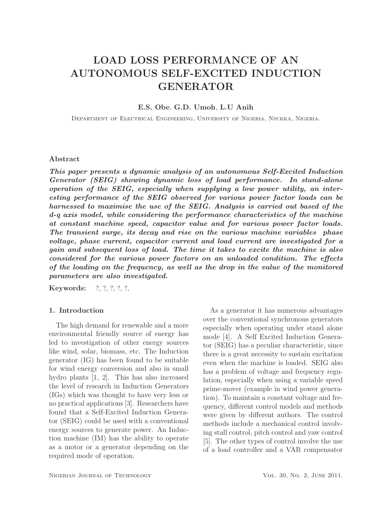# LOAD LOSS PERFORMANCE OF AN AUTONOMOUS SELF-EXCITED INDUCTION GENERATOR

## E.S. Obe, G.D. Umoh, L.U Anih

Department of Electrical Engineering, University of Nigeria, Nsukka, Nigeria.

#### Abstract

This paper presents a dynamic analysis of an autonomous Self-Excited Induction Generator (SEIG) showing dynamic loss of load performance. In stand-alone operation of the SEIG, especially when supplying a low power utility, an interesting performance of the SEIG observed for various power factor loads can be harnessed to maximise the use of the SEIG. Analysis is carried out based of the d-q axis model, while considering the performance characteristics of the machine at constant machine speed, capacitor value and for various power factor loads. The transient surge, its decay and rise on the various machine variables phase voltage, phase current, capacitor current and load current are investigated for a gain and subsequent loss of load. The time it takes to excite the machine is also considered for the various power factors on an unloaded condition. The effects of the loading on the frequency, as well as the drop in the value of the monitored parameters are also investigated.

Keywords: ?, ?, ?, ?, ?,

### 1. Introduction

The high demand for renewable and a more environmental friendly source of energy has led to investigation of other energy sources like wind, solar, biomass, etc. The Induction generator (IG) has been found to be suitable for wind energy conversion and also in small hydro plants [1, 2]. This has also increased the level of research in Induction Generators (IGs) which was thought to have very less or no practical applications [3]. Researchers have found that a Self-Excited Induction Generator (SEIG) could be used with a conventional energy sources to generate power. An Induction machine (IM) has the ability to operate as a motor or a generator depending on the required mode of operation.

As a generator it has numerous advantages over the conventional synchronous generators especially when operating under stand alone mode [4]. A Self Excited Induction Generator (SEIG) has a peculiar characteristic, since there is a great necessity to sustain excitation even when the machine is loaded. SEIG also has a problem of voltage and frequency regulation, especially when using a variable speed prime-mover (example in wind power generation). To maintain a constant voltage and frequency, different control models and methods were given by different authors. The control methods include a mechanical control involving stall control, pitch control and yaw control [5]. The other types of control involve the use of a load controller and a VAR compensator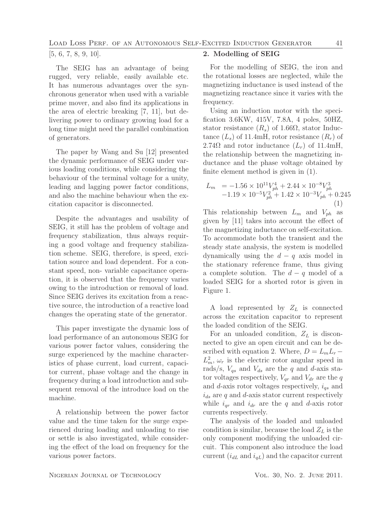[5, 6, 7, 8, 9, 10].

The SEIG has an advantage of being rugged, very reliable, easily available etc. It has numerous advantages over the synchronous generator when used with a variable prime mover, and also find its applications in the area of electric breaking [7, 11], but delivering power to ordinary growing load for a long time might need the parallel combination of generators.

The paper by Wang and Su [12] presented the dynamic performance of SEIG under various loading conditions, while considering the behaviour of the terminal voltage for a unity, leading and lagging power factor conditions, and also the machine behaviour when the excitation capacitor is disconnected.

Despite the advantages and usability of SEIG, it still has the problem of voltage and frequency stabilization, thus always requiring a good voltage and frequency stabilization scheme. SEIG, therefore, is speed, excitation source and load dependent. For a constant speed, non- variable capacitance operation, it is observed that the frequency varies owing to the introduction or removal of load. Since SEIG derives its excitation from a reactive source, the introduction of a reactive load changes the operating state of the generator.

This paper investigate the dynamic loss of load performance of an autonomous SEIG for various power factor values, considering the surge experienced by the machine characteristics of phase current, load current, capacitor current, phase voltage and the change in frequency during a load introduction and subsequent removal of the introduce load on the machine.

A relationship between the power factor value and the time taken for the surge experienced during loading and unloading to rise or settle is also investigated, while considering the effect of the load on frequency for the various power factors.

# 2. Modelling of SEIG

For the modelling of SEIG, the iron and the rotational losses are neglected, while the magnetizing inductance is used instead of the magnetizing reactance since it varies with the frequency.

Using an induction motor with the specification 3.6KW, 415V, 7.8A, 4 poles, 50HZ, stator resistance  $(R_s)$  of 1.66 $\Omega$ , stator Inductance  $(L_s)$  of 11.4mH, rotor resistance  $(R_r)$  of 2.74 $\Omega$  and rotor inductance  $(L_r)$  of 11.4mH, the relationship between the magnetizing inductance and the phase voltage obtained by finite element method is given in (1).

$$
L_m = -1.56 \times 10^{11} V_{ph}^4 + 2.44 \times 10^{-8} V_{ph}^3
$$
  
-1.19 × 10<sup>-5</sup>V<sub>ph</sub><sup>2</sup> + 1.42 × 10<sup>-3</sup>V<sub>ph</sub> + 0.245  
(1)

This relationship between  $L_m$  and  $V_{ph}$  as given by [11] takes into account the effect of the magnetizing inductance on self-excitation. To accommodate both the transient and the steady state analysis, the system is modelled dynamically using the  $d - q$  axis model in the stationary reference frame, thus giving a complete solution. The  $d - q$  model of a loaded SEIG for a shorted rotor is given in Figure 1.

A load represented by  $Z_L$  is connected across the excitation capacitor to represent the loaded condition of the SEIG.

For an unloaded condition,  $Z_L$  is disconnected to give an open circuit and can be described with equation 2. Where,  $D = L_m L_r$  –  $L_m^2$ ,  $\omega_r$  is the electric rotor angular speed in rads/s,  $V_{qs}$  and  $V_{ds}$  are the q and d-axis stator voltages respectively,  $V_{qr}$  and  $V_{dr}$  are the q and d-axis rotor voltages respectively,  $i_{qs}$  and  $i_{ds}$  are q and d-axis stator current respectively while  $i_{qr}$  and  $i_{dr}$  are the q and d-axis rotor currents respectively.

The analysis of the loaded and unloaded condition is similar, because the load  $Z_L$  is the only component modifying the unloaded circuit. This component also introduce the load current  $(i_{dL}$  and  $i_{qL}$ ) and the capacitor current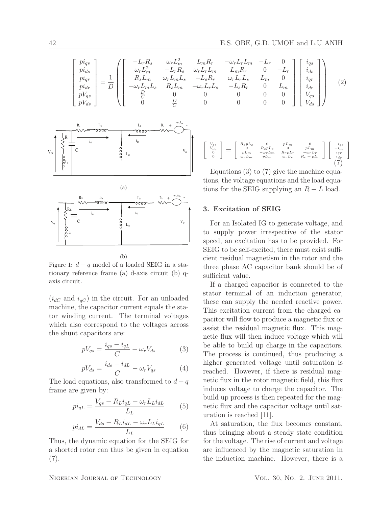$$
\begin{bmatrix}\np i_{qs} \\
pi i_{ds} \\
pi i_{qr} \\
pi i_{qr} \\
p V_{qs} \\
p V_{ds}\n\end{bmatrix} = \frac{1}{D} \begin{bmatrix}\n- L_r R_s & \omega_r L_m^2 & L_m R_r & -\omega_r L_r L_m & -L_r & 0 \\
\omega_r L_m^2 & - L_r R_s & \omega_r L_r L_m & L_m R_r & 0 & -L_r \\
R_s L_m & \omega_r L_m L_s & -L_s R_r & \omega_r L_r L_s & L_m & 0 \\
-\omega_r L_m L_s & R_s L_m & -\omega_r L_r L_s & -L_s R_r & 0 & L_m \\
\frac{D}{C} & 0 & 0 & 0 & 0 & 0 \\
0 & \frac{D}{C} & 0 & 0 & 0 & 0\n\end{bmatrix} \begin{bmatrix}\ni_{qs} \\
i_{qs} \\
i_{qr} \\
i_{qr} \\
i_{dr} \\
V_{ds}\n\end{bmatrix}
$$
\n(2)



Figure 1:  $d - q$  model of a loaded SEIG in a stationary reference frame (a) d-axis circuit (b) qaxis circuit.

 $(i_{dC}$  and  $i_{qC})$  in the circuit. For an unloaded machine, the capacitor current equals the stator winding current. The terminal voltages which also correspond to the voltages across the shunt capacitors are:

$$
pV_{qs} = \frac{i_{qs} - i_{qL}}{C} - \omega_r V_{ds}
$$
 (3)

$$
pV_{ds} = \frac{i_{ds} - i_{dL}}{C} - \omega_r V_{qs} \tag{4}
$$

The load equations, also transformed to  $d - q$ frame are given by:

$$
pi_{qL} = \frac{V_{qs} - R_L i_{qL} - \omega_r L_L i_{dL}}{L_L} \tag{5}
$$

$$
pi_{dL} = \frac{V_{ds} - R_L i_{dL} - \omega_r L_L i_{qL}}{L_L} \tag{6}
$$

Thus, the dynamic equation for the SEIG for a shorted rotor can thus be given in equation (7).

$$
\left[ \begin{array}{c} V_{qs} \\ V_{ds} \\ 0 \\ 0 \end{array} \right] = \left[ \begin{array}{cccc} R_s p L_s & 0 & p L_m & 0 \\ 0 & R_s p L_s & 0 & p L_m \\ p L_m & -\omega_r L_m & R_r p L_r & -\omega_r L_r \\ \omega_r L_m & p L_m & \omega_r L_r & R_r + p L_r \end{array} \right] \left[ \begin{array}{c} -i_{qs} \\ -i_{ds} \\ i_{qr} \\ i_{dr} \\ i_{dr} \end{array} \right]
$$

Equations (3) to (7) give the machine equations, the voltage equations and the load equations for the SEIG supplying an  $R - L$  load.

#### 3. Excitation of SEIG

For an Isolated IG to generate voltage, and to supply power irrespective of the stator speed, an excitation has to be provided. For SEIG to be self-excited, there must exist sufficient residual magnetism in the rotor and the three phase AC capacitor bank should be of sufficient value.

If a charged capacitor is connected to the stator terminal of an induction generator, these can supply the needed reactive power. This excitation current from the charged capacitor will flow to produce a magnetic flux or assist the residual magnetic flux. This magnetic flux will then induce voltage which will be able to build up charge in the capacitors. The process is continued, thus producing a higher generated voltage until saturation is reached. However, if there is residual magnetic flux in the rotor magnetic field, this flux induces voltage to charge the capacitor. The build up process is then repeated for the magnetic flux and the capacitor voltage until saturation is reached [11].

At saturation, the flux becomes constant, thus bringing about a steady state condition for the voltage. The rise of current and voltage are influenced by the magnetic saturation in the induction machine. However, there is a

NIGERIAN JOURNAL OF TECHNOLOGY VOL. 30, NO. 2. JUNE 2011.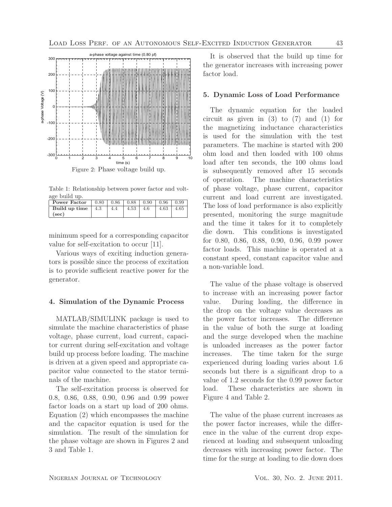

Table 1: Relationship between power factor and voltage build up.

| Power Factor        |     |      | $0.80 \pm 0.86 \pm 0.88 \pm 0.90 \pm 0.96 \pm 0.99$ |      |      |
|---------------------|-----|------|-----------------------------------------------------|------|------|
| Build up time   4.3 | 4.4 | 4.53 | 4.6                                                 | 4.63 | 4.65 |
| (sec)               |     |      |                                                     |      |      |

minimum speed for a corresponding capacitor value for self-excitation to occur [11].

Various ways of exciting induction generators is possible since the process of excitation is to provide sufficient reactive power for the generator.

#### 4. Simulation of the Dynamic Process

MATLAB/SIMULINK package is used to simulate the machine characteristics of phase voltage, phase current, load current, capacitor current during self-excitation and voltage build up process before loading. The machine is driven at a given speed and appropriate capacitor value connected to the stator terminals of the machine.

The self-excitation process is observed for 0.8, 0.86, 0.88, 0.90, 0.96 and 0.99 power factor loads on a start up load of 200 ohms. Equation (2) which encompasses the machine and the capacitor equation is used for the simulation. The result of the simulation for the phase voltage are shown in Figures 2 and 3 and Table 1.

It is observed that the build up time for the generator increases with increasing power factor load.

#### 5. Dynamic Loss of Load Performance

The dynamic equation for the loaded circuit as given in  $(3)$  to  $(7)$  and  $(1)$  for the magnetizing inductance characteristics is used for the simulation with the test parameters. The machine is started with 200 ohm load and then loaded with 100 ohms load after ten seconds, the 100 ohms load is subsequently removed after 15 seconds of operation. The machine characteristics of phase voltage, phase current, capacitor current and load current are investigated. The loss of load performance is also explicitly presented, monitoring the surge magnitude and the time it takes for it to completely die down. This conditions is investigated for 0.80, 0.86, 0.88, 0.90, 0.96, 0.99 power factor loads. This machine is operated at a constant speed, constant capacitor value and a non-variable load.

The value of the phase voltage is observed to increase with an increasing power factor value. During loading, the difference in the drop on the voltage value decreases as the power factor increases. The difference in the value of both the surge at loading and the surge developed when the machine is unloaded increases as the power factor increases. The time taken for the surge experienced during loading varies about 1.6 seconds but there is a significant drop to a value of 1.2 seconds for the 0.99 power factor load. These characteristics are shown in Figure 4 and Table 2.

The value of the phase current increases as the power factor increases, while the difference in the value of the current drop experienced at loading and subsequent unloading decreases with increasing power factor. The time for the surge at loading to die down does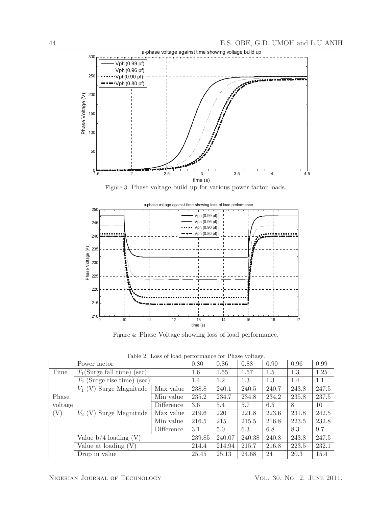

Figure 3: Phase voltage build up for various power factor loads.



Figure 4: Phase Voltage showing loss of load performance.

|  |  |  |  | Table 2: Loss of load performance for Phase voltage. |  |  |  |
|--|--|--|--|------------------------------------------------------|--|--|--|
|--|--|--|--|------------------------------------------------------|--|--|--|

|         | Power factor                     |            | 0.80   | 0.86   | 0.88   | 0.90  | 0.96  | 0.99  |
|---------|----------------------------------|------------|--------|--------|--------|-------|-------|-------|
| Time    | $T_1$ (Surge fall time) (sec)    |            | 1.6    | 1.55   | 1.57   | 1.5   | 1.3   | 1.25  |
|         | $T_2$ (Surge rise time)<br>(sec) |            | 1.4    | 1.2    | 1.3    | 1.3   | 1.4   | 1.1   |
|         | $V_1$ (V) Surge Magnitude        | Max value  | 238.8  | 240.1  | 240.5  | 240.7 | 243.8 | 247.5 |
| Phase   |                                  | Min value  | 235.2  | 234.7  | 234.8  | 234.2 | 235.8 | 237.5 |
| voltage |                                  | Difference | 3.6    | 5.4    | 5.7    | 6.5   | 8     | 10    |
| (V)     | $V_2$ (V) Surge Magnitude        | Max value  | 219.6  | 220    | 221.8  | 223.6 | 231.8 | 242.5 |
|         |                                  | Min value  | 216.5  | 215    | 215.5  | 216.8 | 223.5 | 232.8 |
|         |                                  | Difference | 3.1    | 5.0    | 6.3    | 6.8   | 8.3   | 9.7   |
|         | Value $b/4$ loading $(V)$        |            | 239.85 | 240.07 | 240.38 | 240.8 | 243.8 | 247.5 |
|         | Value at loading $(V)$           |            | 214.4  | 214.94 | 215.7  | 216.8 | 223.5 | 232.1 |
|         | Drop in value                    |            | 25.45  | 25.13  | 24.68  | 24    | 20.3  | 15.4  |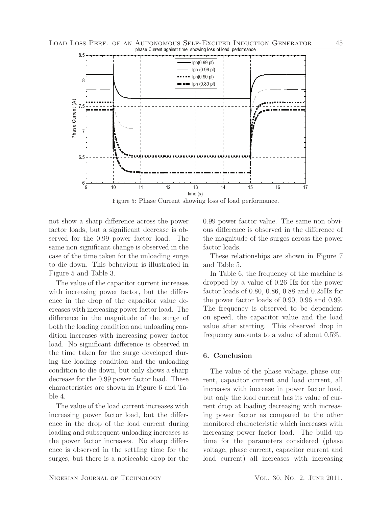

Figure 5: Phase Current showing loss of load performance.

not show a sharp difference across the power factor loads, but a significant decrease is observed for the 0.99 power factor load. The same non significant change is observed in the case of the time taken for the unloading surge to die down. This behaviour is illustrated in Figure 5 and Table 3.

The value of the capacitor current increases with increasing power factor, but the difference in the drop of the capacitor value decreases with increasing power factor load. The difference in the magnitude of the surge of both the loading condition and unloading condition increases with increasing power factor load. No significant difference is observed in the time taken for the surge developed during the loading condition and the unloading condition to die down, but only shows a sharp decrease for the 0.99 power factor load. These characteristics are shown in Figure 6 and Table 4.

The value of the load current increases with increasing power factor load, but the difference in the drop of the load current during loading and subsequent unloading increases as the power factor increases. No sharp difference is observed in the settling time for the surges, but there is a noticeable drop for the 0.99 power factor value. The same non obvious difference is observed in the difference of the magnitude of the surges across the power factor loads.

These relationships are shown in Figure 7 and Table 5.

In Table 6, the frequency of the machine is dropped by a value of 0.26 Hz for the power factor loads of 0.80, 0.86, 0.88 and 0.25Hz for the power factor loads of 0.90, 0.96 and 0.99. The frequency is observed to be dependent on speed, the capacitor value and the load value after starting. This observed drop in frequency amounts to a value of about 0.5%.

# 6. Conclusion

The value of the phase voltage, phase current, capacitor current and load current, all increases with increase in power factor load, but only the load current has its value of current drop at loading decreasing with increasing power factor as compared to the other monitored characteristic which increases with increasing power factor load. The build up time for the parameters considered (phase voltage, phase current, capacitor current and load current) all increases with increasing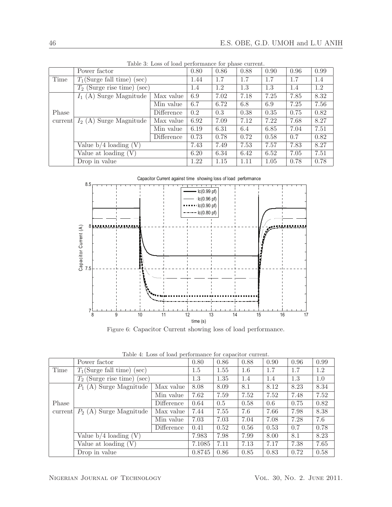|         | Power factor                  |            | 0.80 | 0.86 | 0.88 | 0.90 | 0.96 | 0.99 |
|---------|-------------------------------|------------|------|------|------|------|------|------|
| Time    | $T_1$ (Surge fall time) (sec) |            | 1.44 | 1.7  | 1.7  | 1.7  | 1.7  | 1.4  |
|         | $T_2$ (Surge rise time) (sec) |            | 1.4  | 1.2  | 1.3  | 1.3  | 1.4  | 1.2  |
|         | $I_1(A)$ Surge Magnitude      | Max value  | 6.9  | 7.02 | 7.18 | 7.25 | 7.85 | 8.32 |
|         |                               | Min value  | 6.7  | 6.72 | 6.8  | 6.9  | 7.25 | 7.56 |
| Phase   |                               | Difference | 0.2  | 0.3  | 0.38 | 0.35 | 0.75 | 0.82 |
| current | $I_2(A)$ Surge Magnitude      | Max value  | 6.92 | 7.09 | 7.12 | 7.22 | 7.68 | 8.27 |
|         |                               | Min value  | 6.19 | 6.31 | 6.4  | 6.85 | 7.04 | 7.51 |
|         |                               | Difference | 0.73 | 0.78 | 0.72 | 0.58 | 0.7  | 0.82 |
|         | Value $b/4$ loading $(V)$     |            | 7.43 | 7.49 | 7.53 | 7.57 | 7.83 | 8.27 |
|         | Value at loading $(V)$        |            | 6.20 | 6.34 | 6.42 | 6.52 | 7.05 | 7.51 |
|         | Drop in value                 |            | 1.22 | 1.15 | 1.11 | 1.05 | 0.78 | 0.78 |

Table 3: Loss of load performance for phase current.



Figure 6: Capacitor Current showing loss of load performance.

Table 4: Loss of load performance for capacitor current.

|         | Power factor                  |            | 0.80   | 0.86 | 0.88 | 0.90 | 0.96 | 0.99 |
|---------|-------------------------------|------------|--------|------|------|------|------|------|
| Time    | $T_1$ (Surge fall time) (sec) |            | 1.5    | 1.55 | 1.6  | 1.7  | 1.7  | 1.2  |
|         | $T_2$ (Surge rise time) (sec) |            | 1.3    | 1.35 | 1.4  | 1.4  | 1.3  | 1.0  |
|         | $P_1(A)$ Surge Magnitude      | Max value  | 8.08   | 8.09 | 8.1  | 8.12 | 8.23 | 8.34 |
|         |                               | Min value  | 7.62   | 7.59 | 7.52 | 7.52 | 7.48 | 7.52 |
| Phase   |                               | Difference | 0.64   | 0.5  | 0.58 | 0.6  | 0.75 | 0.82 |
| current | $P_2(A)$ Surge Magnitude      | Max value  | 7.44   | 7.55 | 7.6  | 7.66 | 7.98 | 8.38 |
|         |                               | Min value  | 7.03   | 7.03 | 7.04 | 7.08 | 7.28 | 7.6  |
|         |                               | Difference | 0.41   | 0.52 | 0.56 | 0.53 | 0.7  | 0.78 |
|         | Value $b/4$ loading $(V)$     |            | 7.983  | 7.98 | 7.99 | 8.00 | 8.1  | 8.23 |
|         | Value at loading $(V)$        |            | 7.1085 | 7.11 | 7.13 | 7.17 | 7.38 | 7.65 |
|         | Drop in value                 |            | 0.8745 | 0.86 | 0.85 | 0.83 | 0.72 | 0.58 |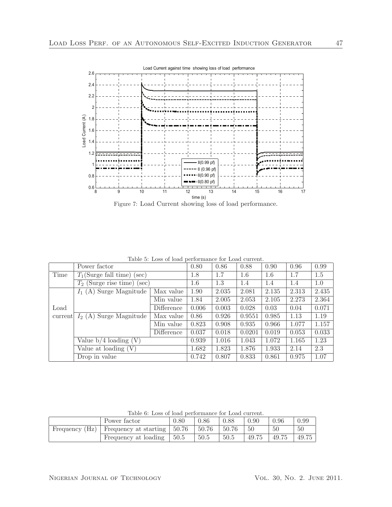

Figure 7: Load Current showing loss of load performance.

|         | Power factor                  |            | 0.80  | 0.86  | 0.88   | 0.90  | 0.96  | 0.99  |
|---------|-------------------------------|------------|-------|-------|--------|-------|-------|-------|
| Time    | $T_1$ (Surge fall time) (sec) |            | 1.8   | 1.7   | 1.6    | 1.6   | 1.7   | 1.5   |
|         | $T_2$ (Surge rise time) (sec) |            | 1.6   | 1.3   | 1.4    | 1.4   | 1.4   | 1.0   |
|         | $I_1(A)$ Surge Magnitude      | Max value  | 1.90  | 2.035 | 2.081  | 2.135 | 2.313 | 2.435 |
|         |                               | Min value  | 1.84  | 2.005 | 2.053  | 2.105 | 2.273 | 2.364 |
| Load    |                               | Difference | 0.006 | 0.003 | 0.028  | 0.03  | 0.04  | 0.071 |
| current | $I_2(A)$ Surge Magnitude      | Max value  | 0.86  | 0.926 | 0.9551 | 0.985 | 1.13  | 1.19  |
|         |                               | Min value  | 0.823 | 0.908 | 0.935  | 0.966 | 1.077 | 1.157 |
|         |                               | Difference | 0.037 | 0.018 | 0.0201 | 0.019 | 0.053 | 0.033 |
|         | Value $b/4$ loading $(V)$     |            | 0.939 | 1.016 | 1.043  | 1.072 | 1.165 | 1.23  |
|         | Value at loading $(V)$        |            | 1.682 | 1.823 | 1.876  | 1.933 | 2.14  | 2.3   |
|         | Drop in value                 |            | 0.742 | 0.807 | 0.833  | 0.861 | 0.975 | 1.07  |

Table 5: Loss of load performance for Load current.

|                | Power factor          | 0.80  | 0.86  | 0.88  | 0.90  | 0.96  | 0.99  |
|----------------|-----------------------|-------|-------|-------|-------|-------|-------|
| Frequency (Hz) | Frequency at starting | 50.76 | 50.76 | 50.76 | 50    | 50    | 50    |
|                | Frequency at loading  | 50.5  | 50.5  | 50.5  | 49.75 | 49.75 | 49.75 |

Table 6: Loss of load performance for Load current.